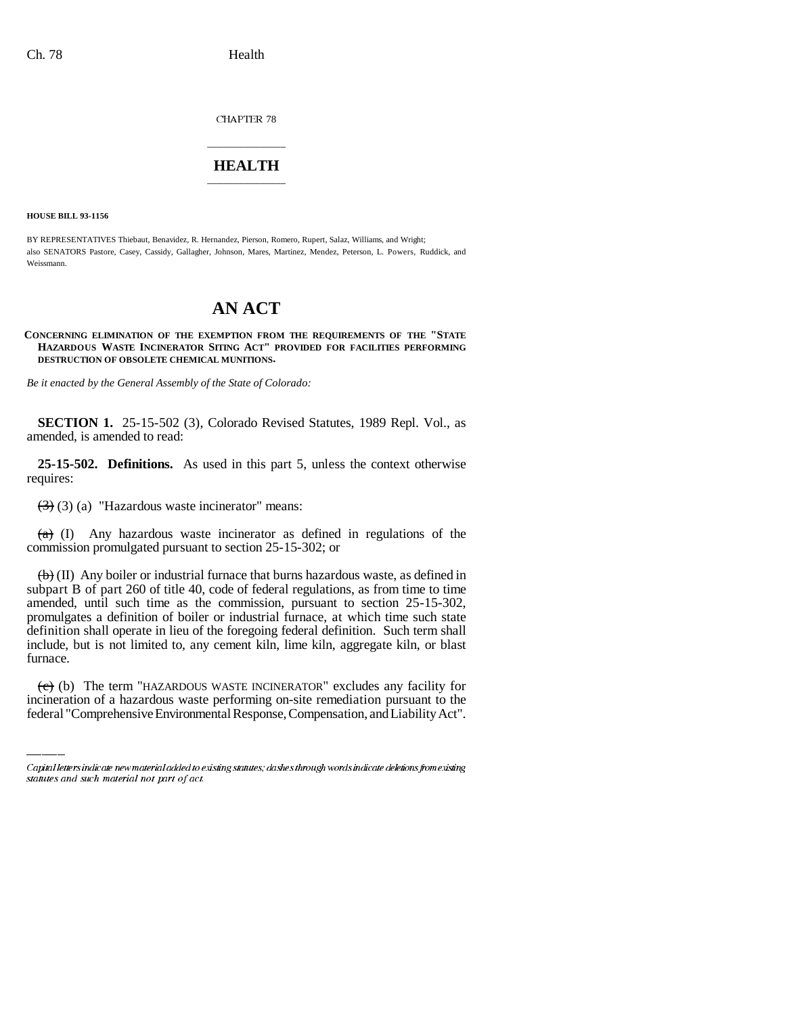CHAPTER 78

## \_\_\_\_\_\_\_\_\_\_\_\_\_\_\_ **HEALTH** \_\_\_\_\_\_\_\_\_\_\_\_\_\_\_

**HOUSE BILL 93-1156**

BY REPRESENTATIVES Thiebaut, Benavidez, R. Hernandez, Pierson, Romero, Rupert, Salaz, Williams, and Wright; also SENATORS Pastore, Casey, Cassidy, Gallagher, Johnson, Mares, Martinez, Mendez, Peterson, L. Powers, Ruddick, and Weissmann.

## **AN ACT**

## **CONCERNING ELIMINATION OF THE EXEMPTION FROM THE REQUIREMENTS OF THE "STATE HAZARDOUS WASTE INCINERATOR SITING ACT" PROVIDED FOR FACILITIES PERFORMING DESTRUCTION OF OBSOLETE CHEMICAL MUNITIONS.**

*Be it enacted by the General Assembly of the State of Colorado:*

**SECTION 1.** 25-15-502 (3), Colorado Revised Statutes, 1989 Repl. Vol., as amended, is amended to read:

**25-15-502. Definitions.** As used in this part 5, unless the context otherwise requires:

 $\left(\frac{1}{2}\right)$  (3) (a) "Hazardous waste incinerator" means:

 $(a)$  (I) Any hazardous waste incinerator as defined in regulations of the commission promulgated pursuant to section 25-15-302; or

furnace.  $\overline{(b)}$  (II) Any boiler or industrial furnace that burns hazardous waste, as defined in subpart B of part 260 of title 40, code of federal regulations, as from time to time amended, until such time as the commission, pursuant to section 25-15-302, promulgates a definition of boiler or industrial furnace, at which time such state definition shall operate in lieu of the foregoing federal definition. Such term shall include, but is not limited to, any cement kiln, lime kiln, aggregate kiln, or blast

 $\overline{(e)}$  (b) The term "HAZARDOUS WASTE INCINERATOR" excludes any facility for incineration of a hazardous waste performing on-site remediation pursuant to the federal "Comprehensive Environmental Response, Compensation, and Liability Act".

Capital letters indicate new material added to existing statutes; dashes through words indicate deletions from existing statutes and such material not part of act.